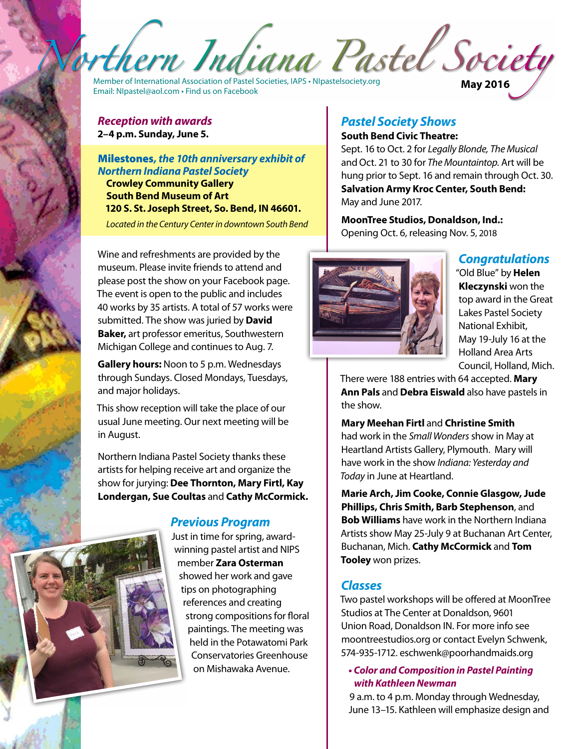thern Indiana Pastel Society

Member of International Association of Pastel Societies, IAPS • <NIpastelsociety.org> Email: [NIpastel@aol.com](mailto:NIpastel@aol.com) • Find us on Facebook **May 2016**

#### *Reception with awards*  **2–4 p.m. Sunday, June 5.**

Milestones*, the 10th anniversary exhibit of Northern Indiana Pastel Society* **Crowley Community Gallery South Bend Museum of Art 120 S. St. Joseph Street, So. Bend, IN 46601.** 

*Located in the Century Center in downtown South Bend*

Wine and refreshments are provided by the museum. Please invite friends to attend and please post the show on your Facebook page. The event is open to the public and includes 40 works by 35 artists. A total of 57 works were submitted. The show was juried by **David Baker,** art professor emeritus, Southwestern Michigan College and continues to Aug. 7.

**Gallery hours:** Noon to 5 p.m. Wednesdays through Sundays. Closed Mondays, Tuesdays, and major holidays.

This show reception will take the place of our usual June meeting. Our next meeting will be in August.

Northern Indiana Pastel Society thanks these artists for helping receive art and organize the show for jurying: **Dee Thornton, Mary Firtl, Kay Londergan, Sue Coultas** and **Cathy McCormick.**

#### *Previous Program*

Just in time for spring, awardwinning pastel artist and NIPS member **Zara Osterman**  showed her work and gave tips on photographing references and creating strong compositions for floral paintings. The meeting was held in the Potawatomi Park Conservatories Greenhouse on Mishawaka Avenue.

# *Pastel Society Shows*

#### **South Bend Civic Theatre:**

Sept. 16 to Oct. 2 for *Legally Blonde, The Musical*  andOct. 21 to 30 for *The Mountaintop.* Art will be hung prior to Sept. 16 and remain through Oct. 30. **Salvation Army Kroc Center, South Bend:** May and June 2017.

**MoonTree Studios, Donaldson, Ind.:** Opening Oct. 6, releasing Nov. 5, 2018



# *Congratulations*

"Old Blue" by **Helen Kleczynski** won the top award in the Great Lakes Pastel Society National Exhibit, May 19-July 16 at the Holland Area Arts Council, Holland, Mich.

There were 188 entries with 64 accepted. **Mary Ann Pals** and **Debra Eiswald** also have pastels in the show.

#### **Mary Meehan Firtl** and **Christine Smith** had work in the *Small Wonders* show in May at Heartland Artists Gallery, Plymouth. Mary will have work in the show *Indiana: Yesterday and Today* in June at Heartland.

**Marie Arch, Jim Cooke, Connie Glasgow, Jude Phillips, Chris Smith, Barb Stephenson**, and **Bob Williams** have work in the Northern Indiana Artists show May 25-July 9 at Buchanan Art Center, Buchanan, Mich. **Cathy McCormick** and **Tom Tooley** won prizes.

### *Classes*

Two pastel workshops will be offered at MoonTree Studios at The Center at Donaldson, 9601 Union Road, Donaldson IN. For more info see <moontreestudios.org> or contact Evelyn Schwenk, 574-935-1712. [eschwenk@poorhandmaids.org](mailto:eschwenk@poorhandmaids.org)

#### **•** *Color and Composition in Pastel Painting with Kathleen Newman*

9 a.m. to 4 p.m. Monday through Wednesday, June 13–15. Kathleen will emphasize design and